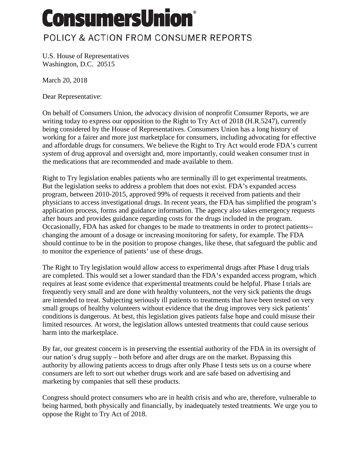## **ConsumersUnion®**

## POLICY & ACTION FROM CONSUMER REPORTS

U.S. House of Representatives Washington, D.C. 20515

March 20, 2018

Dear Representative:

On behalf of Consumers Union, the advocacy division of nonprofit Consumer Reports, we are writing today to express our opposition to the Right to Try Act of 2018 (H.R.5247), currently being considered by the House of Representatives. Consumers Union has a long history of working for a fairer and more just marketplace for consumers, including advocating for effective and affordable drugs for consumers. We believe the Right to Try Act would erode FDA's current system of drug approval and oversight and, more importantly, could weaken consumer trust in the medications that are recommended and made available to them.

Right to Try legislation enables patients who are terminally ill to get experimental treatments. But the legislation seeks to address a problem that does not exist. FDA's expanded access program, between 2010-2015, approved 99% of requests it received from patients and their physicians to access investigational drugs. In recent years, the FDA has simplified the program's application process, forms and guidance information. The agency also takes emergency requests after hours and provides guidance regarding costs for the drugs included in the program. Occasionally, FDA has asked for changes to be made to treatments in order to protect patients- changing the amount of a dosage or increasing monitoring for safety, for example. The FDA should continue to be in the position to propose changes, like these, that safeguard the public and to monitor the experience of patients' use of these drugs.

The Right to Try legislation would allow access to experimental drugs after Phase I drug trials are completed. This would set a lower standard than the FDA's expanded access program, which requires at least some evidence that experimental treatments could be helpful. Phase I trials are frequently very small and are done with healthy volunteers, not the very sick patients the drugs are intended to treat. Subjecting seriously ill patients to treatments that have been tested on very small groups of healthy volunteers without evidence that the drug improves very sick patients' conditions is dangerous. At best, this legislation gives patients false hope and could misuse their limited resources. At worst, the legislation allows untested treatments that could cause serious harm into the marketplace.

By far, our greatest concern is in preserving the essential authority of the FDA in its oversight of our nation's drug supply – both before and after drugs are on the market. Bypassing this authority by allowing patients access to drugs after only Phase I tests sets us on a course where consumers are left to sort out whether drugs work and are safe based on advertising and marketing by companies that sell these products.

Congress should protect consumers who are in health crisis and who are, therefore, vulnerable to being harmed, both physically and financially, by inadequately tested treatments. We urge you to oppose the Right to Try Act of 2018.